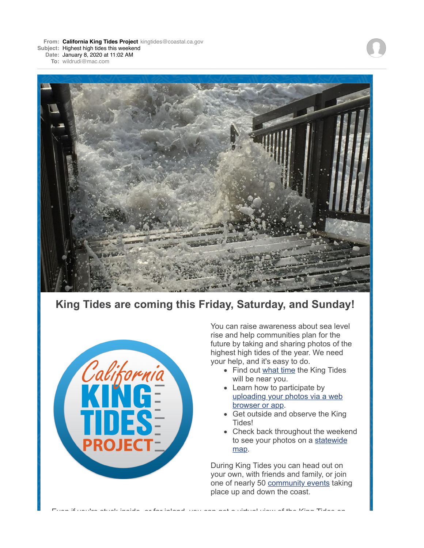**From: California King Tides Project** kingtides@coastal.ca.gov **Subject:** Highest high tides this weekend

**Date:** January 8, 2020 at 11:02 AM

**To:** wildrudi@mac.com



## **King Tides are coming this Friday, Saturday, and Sunday!**



You can raise awareness about sea level rise and help communities plan for the future by taking and sharing photos of the highest high tides of the year. We need your help, and it's easy to do.

- Find out what time the King Tides will be near you.
- Learn how to participate by uploading your photos via a web browser or app.
- Get outside and observe the King Tides!
- Check back throughout the weekend to see your photos on a statewide map.

Even if you're stuck inside, or far inland, you can get a virtual view of the King Tides on

During King Tides you can head out on your own, with friends and family, or join one of nearly 50 community events taking place up and down the coast.